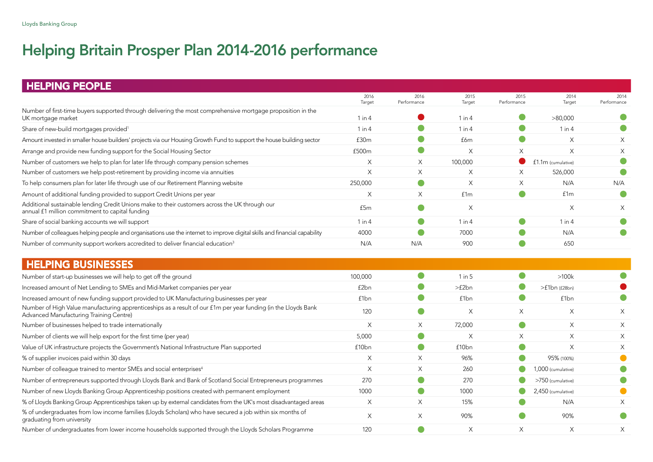# Helping Britain Prosper Plan 2014-2016 performance

| <b>HELPING PEOPLE</b>                                                                                                                                     |                |                     |                |                     |                     |                     |
|-----------------------------------------------------------------------------------------------------------------------------------------------------------|----------------|---------------------|----------------|---------------------|---------------------|---------------------|
|                                                                                                                                                           | 2016<br>Target | 2016<br>Performance | 2015<br>Target | 2015<br>Performance | 2014<br>Target      | 2014<br>Performance |
| Number of first-time buyers supported through delivering the most comprehensive mortgage proposition in the<br>UK mortgage market                         | $1$ in $4$     |                     | $1$ in $4$     |                     | >80,000             |                     |
| Share of new-build mortgages provided <sup>1</sup>                                                                                                        | $1$ in $4$     |                     | 1 in 4         |                     | $1$ in $4$          |                     |
| Amount invested in smaller house builders' projects via our Housing Growth Fund to support the house building sector                                      | f30m           |                     | £6m            | $\bullet$           | $\times$            | $\times$            |
| Arrange and provide new funding support for the Social Housing Sector                                                                                     | £500m          | $\bullet$           | $\times$       | $\times$            | $\times$            | X                   |
| Number of customers we help to plan for later life through company pension schemes                                                                        | $\times$       | $\times$            | 100,000        |                     | £1.1m (cumulative)  |                     |
| Number of customers we help post-retirement by providing income via annuities                                                                             | $\times$       | $\times$            | X              | $\times$            | 526,000             |                     |
| To help consumers plan for later life through use of our Retirement Planning website                                                                      | 250,000        | $\bullet$           | X              | $\times$            | N/A                 | N/A                 |
| Amount of additional funding provided to support Credit Unions per year                                                                                   | Χ              | X                   | f1m            | $\bullet$           | f1m                 |                     |
| Additional sustainable lending Credit Unions make to their customers across the UK through our<br>annual £1 million commitment to capital funding         | £5m            | $\bullet$           | X              |                     | X                   | X                   |
| Share of social banking accounts we will support                                                                                                          | $1$ in $4$     | $\bullet$           | $1$ in $4$     | $\bullet$           | $1$ in $4$          |                     |
| Number of colleagues helping people and organisations use the internet to improve digital skills and financial capability                                 | 4000           |                     | 7000           |                     | N/A                 |                     |
| Number of community support workers accredited to deliver financial education <sup>3</sup>                                                                | N/A            | N/A                 | 900            |                     | 650                 |                     |
| <b>HELPING BUSINESSES</b>                                                                                                                                 |                |                     |                |                     |                     |                     |
| Number of start-up businesses we will help to get off the ground                                                                                          | 100,000        | $\bullet$           | 1 in 5         | $\bullet$           | $>100k$             |                     |
| Increased amount of Net Lending to SMEs and Mid-Market companies per year                                                                                 | £2bn           |                     | >f2bn          |                     | $>f1bn$ ( $f28bn$ ) |                     |
| Increased amount of new funding support provided to UK Manufacturing businesses per year                                                                  | £1bn           | $\bullet$           | £1bn           | O                   | £1bn                |                     |
| Number of High Value manufacturing apprenticeships as a result of our £1m per year funding (in the Lloyds Bank<br>Advanced Manufacturing Training Centre) | 120            | $\bullet$           | X              | $\times$            | $\times$            | $\times$            |
| Number of businesses helped to trade internationally                                                                                                      | $\times$       | Χ                   | 72,000         | $\bullet$           | $\times$            | $\times$            |
| Number of clients we will help export for the first time (per year)                                                                                       | 5,000          | $\bullet$           | X              | $\times$            | X                   | X                   |
| Value of UK infrastructure projects the Government's National Infrastructure Plan supported                                                               | £10bn          | $\bullet$           | £10bn          | O                   | $\times$            | X                   |
| % of supplier invoices paid within 30 days                                                                                                                | $\times$       | $\times$            | 96%            |                     | 95% (100%)          |                     |
| Number of colleague trained to mentor SMEs and social enterprises <sup>4</sup>                                                                            | $\times$       | $\times$            | 260            |                     | 1,000 (cumulative)  |                     |
| Number of entrepreneurs supported through Lloyds Bank and Bank of Scotland Social Entrepreneurs programmes                                                | 270            | œ                   | 270            |                     | >750 (cumulative)   |                     |
| Number of new Lloyds Banking Group Apprenticeship positions created with permanent employment                                                             | 1000           | $\bullet$           | 1000           |                     | 2,450 (cumulative)  |                     |
| % of Lloyds Banking Group Apprenticeships taken up by external candidates from the UK's most disadvantaged areas                                          | $\times$       | $\times$            | 15%            |                     | N/A                 | X                   |
| % of undergraduates from low income families (Lloyds Scholars) who have secured a job within six months of<br>graduating from university                  | $\times$       | $\times$            | 90%            |                     | 90%                 |                     |
| Number of undergraduates from lower income households supported through the Lloyds Scholars Programme                                                     | 120            |                     | X              | $\times$            | $\times$            | X                   |